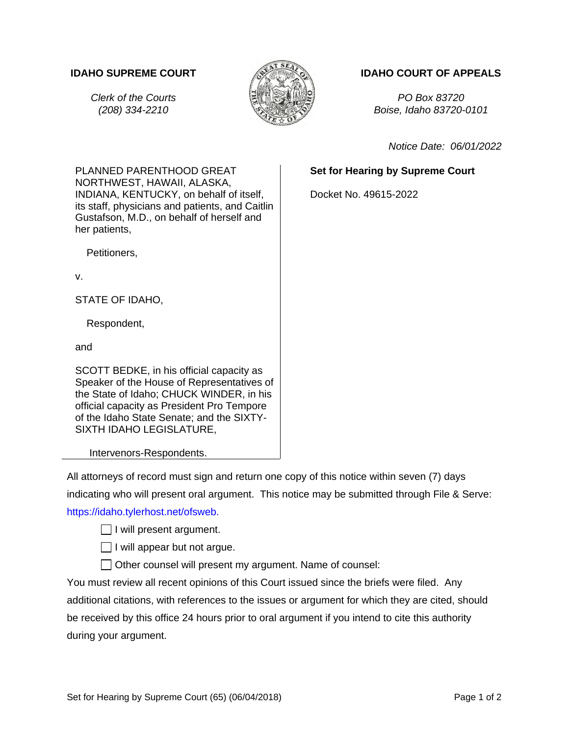

## **IDAHO SUPREME COURT IDAHO COURT OF APPEALS**

*Clerk of the Courts PO Box 83720 (208) 334-2210 Boise, Idaho 83720-0101*

*Notice Date: 06/01/2022*

## **Set for Hearing by Supreme Court**

Docket No. 49615-2022

PLANNED PARENTHOOD GREAT NORTHWEST, HAWAII, ALASKA, INDIANA, KENTUCKY, on behalf of itself, its staff, physicians and patients, and Caitlin Gustafson, M.D., on behalf of herself and her patients,

Petitioners,

v.

STATE OF IDAHO,

Respondent,

and

SCOTT BEDKE, in his official capacity as Speaker of the House of Representatives of the State of Idaho; CHUCK WINDER, in his official capacity as President Pro Tempore of the Idaho State Senate; and the SIXTY-SIXTH IDAHO LEGISLATURE,

## Intervenors-Respondents.

All attorneys of record must sign and return one copy of this notice within seven (7) days indicating who will present oral argument. This notice may be submitted through File & Serve: [https://idaho.tylerhost.net/ofsweb.](https://idaho.tylerhost.net/ofsweb)

 $\Box$  I will present argument.

 $\Box$  I will appear but not argue.

Other counsel will present my argument. Name of counsel:

You must review all recent opinions of this Court issued since the briefs were filed. Any additional citations, with references to the issues or argument for which they are cited, should be received by this office 24 hours prior to oral argument if you intend to cite this authority during your argument.